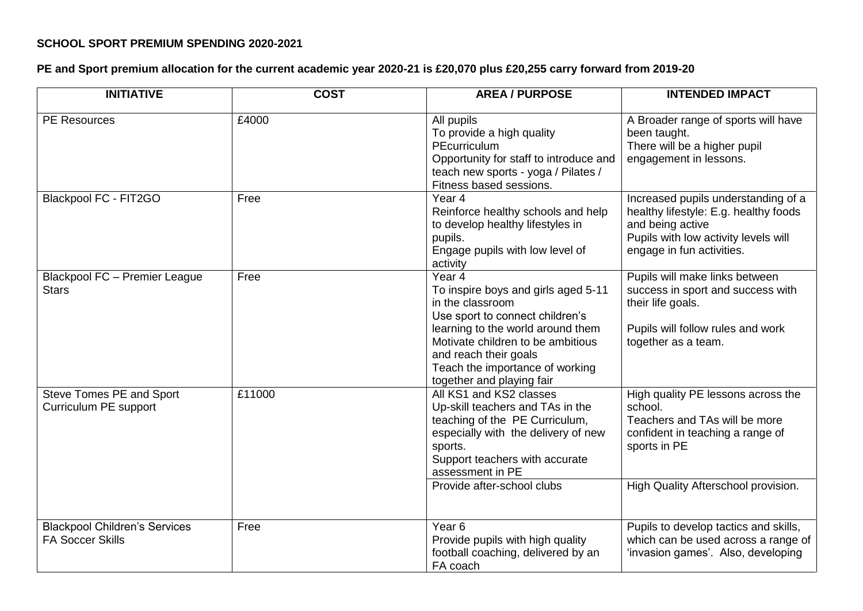## **SCHOOL SPORT PREMIUM SPENDING 2020-2021**

## **PE and Sport premium allocation for the current academic year 2020-21 is £20,070 plus £20,255 carry forward from 2019-20**

| <b>INITIATIVE</b>                                               | <b>COST</b> | <b>AREA / PURPOSE</b>                                                                                                                                                                                                                                                   | <b>INTENDED IMPACT</b>                                                                                                                                                    |
|-----------------------------------------------------------------|-------------|-------------------------------------------------------------------------------------------------------------------------------------------------------------------------------------------------------------------------------------------------------------------------|---------------------------------------------------------------------------------------------------------------------------------------------------------------------------|
| <b>PE Resources</b>                                             | £4000       | All pupils<br>To provide a high quality<br>PEcurriculum<br>Opportunity for staff to introduce and<br>teach new sports - yoga / Pilates /<br>Fitness based sessions.                                                                                                     | A Broader range of sports will have<br>been taught.<br>There will be a higher pupil<br>engagement in lessons.                                                             |
| Blackpool FC - FIT2GO                                           | Free        | Year <sub>4</sub><br>Reinforce healthy schools and help<br>to develop healthy lifestyles in<br>pupils.<br>Engage pupils with low level of<br>activity                                                                                                                   | Increased pupils understanding of a<br>healthy lifestyle: E.g. healthy foods<br>and being active<br>Pupils with low activity levels will<br>engage in fun activities.     |
| Blackpool FC - Premier League<br><b>Stars</b>                   | Free        | Year 4<br>To inspire boys and girls aged 5-11<br>in the classroom<br>Use sport to connect children's<br>learning to the world around them<br>Motivate children to be ambitious<br>and reach their goals<br>Teach the importance of working<br>together and playing fair | Pupils will make links between<br>success in sport and success with<br>their life goals.<br>Pupils will follow rules and work<br>together as a team.                      |
| Steve Tomes PE and Sport<br>Curriculum PE support               | £11000      | All KS1 and KS2 classes<br>Up-skill teachers and TAs in the<br>teaching of the PE Curriculum,<br>especially with the delivery of new<br>sports.<br>Support teachers with accurate<br>assessment in PE<br>Provide after-school clubs                                     | High quality PE lessons across the<br>school.<br>Teachers and TAs will be more<br>confident in teaching a range of<br>sports in PE<br>High Quality Afterschool provision. |
| <b>Blackpool Children's Services</b><br><b>FA Soccer Skills</b> | Free        | Year <sub>6</sub><br>Provide pupils with high quality<br>football coaching, delivered by an<br>FA coach                                                                                                                                                                 | Pupils to develop tactics and skills,<br>which can be used across a range of<br>'invasion games'. Also, developing                                                        |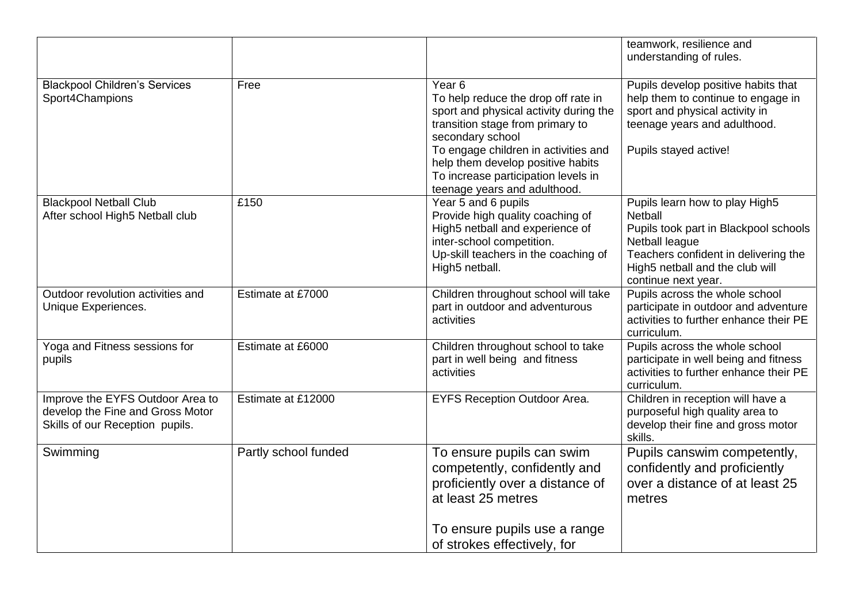|                                                                                                         |                      |                                                                                                                                                                                                                                                                                                                | teamwork, resilience and<br>understanding of rules.                                                                                                                                                    |
|---------------------------------------------------------------------------------------------------------|----------------------|----------------------------------------------------------------------------------------------------------------------------------------------------------------------------------------------------------------------------------------------------------------------------------------------------------------|--------------------------------------------------------------------------------------------------------------------------------------------------------------------------------------------------------|
| <b>Blackpool Children's Services</b><br>Sport4Champions                                                 | Free                 | Year <sub>6</sub><br>To help reduce the drop off rate in<br>sport and physical activity during the<br>transition stage from primary to<br>secondary school<br>To engage children in activities and<br>help them develop positive habits<br>To increase participation levels in<br>teenage years and adulthood. | Pupils develop positive habits that<br>help them to continue to engage in<br>sport and physical activity in<br>teenage years and adulthood.<br>Pupils stayed active!                                   |
| <b>Blackpool Netball Club</b><br>After school High5 Netball club                                        | £150                 | Year 5 and 6 pupils<br>Provide high quality coaching of<br>High5 netball and experience of<br>inter-school competition.<br>Up-skill teachers in the coaching of<br>High5 netball.                                                                                                                              | Pupils learn how to play High5<br>Netball<br>Pupils took part in Blackpool schools<br>Netball league<br>Teachers confident in delivering the<br>High5 netball and the club will<br>continue next year. |
| Outdoor revolution activities and<br>Unique Experiences.                                                | Estimate at £7000    | Children throughout school will take<br>part in outdoor and adventurous<br>activities                                                                                                                                                                                                                          | Pupils across the whole school<br>participate in outdoor and adventure<br>activities to further enhance their PE<br>curriculum.                                                                        |
| Yoga and Fitness sessions for<br>pupils                                                                 | Estimate at £6000    | Children throughout school to take<br>part in well being and fitness<br>activities                                                                                                                                                                                                                             | Pupils across the whole school<br>participate in well being and fitness<br>activities to further enhance their PE<br>curriculum.                                                                       |
| Improve the EYFS Outdoor Area to<br>develop the Fine and Gross Motor<br>Skills of our Reception pupils. | Estimate at £12000   | <b>EYFS Reception Outdoor Area.</b>                                                                                                                                                                                                                                                                            | Children in reception will have a<br>purposeful high quality area to<br>develop their fine and gross motor<br>skills.                                                                                  |
| Swimming                                                                                                | Partly school funded | To ensure pupils can swim<br>competently, confidently and<br>proficiently over a distance of<br>at least 25 metres<br>To ensure pupils use a range<br>of strokes effectively, for                                                                                                                              | Pupils canswim competently,<br>confidently and proficiently<br>over a distance of at least 25<br>metres                                                                                                |